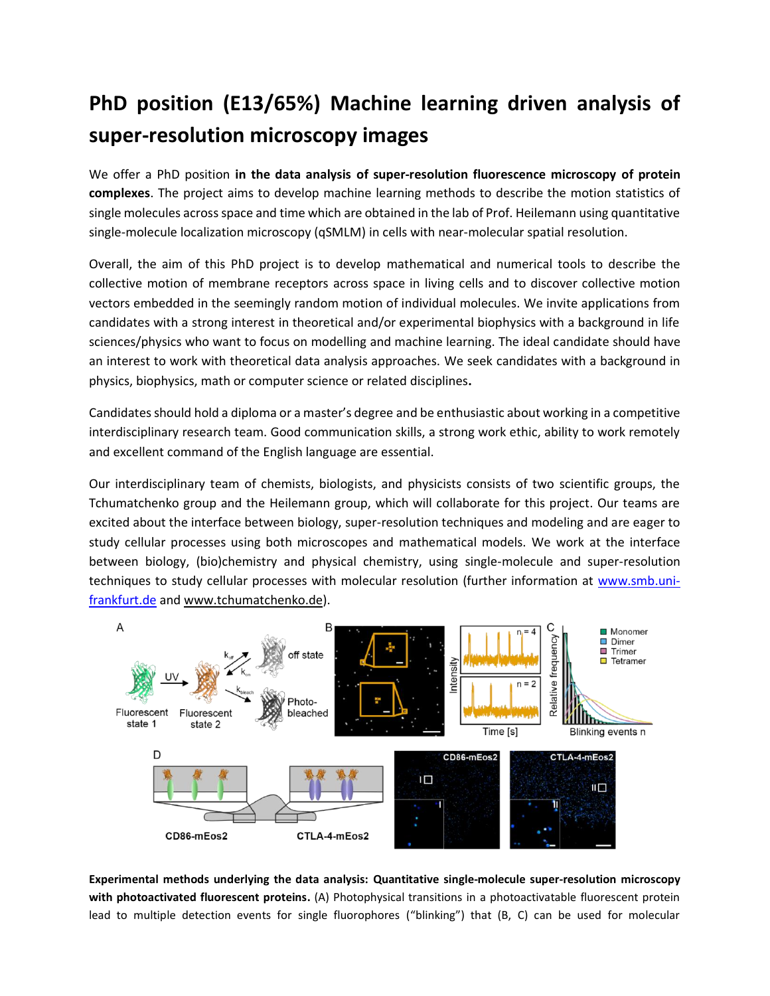## **PhD position (E13/65%) Machine learning driven analysis of super-resolution microscopy images**

We offer a PhD position **in the data analysis of super-resolution fluorescence microscopy of protein complexes**. The project aims to develop machine learning methods to describe the motion statistics of single molecules across space and time which are obtained in the lab of Prof. Heilemann using quantitative single-molecule localization microscopy (qSMLM) in cells with near-molecular spatial resolution.

Overall, the aim of this PhD project is to develop mathematical and numerical tools to describe the collective motion of membrane receptors across space in living cells and to discover collective motion vectors embedded in the seemingly random motion of individual molecules. We invite applications from candidates with a strong interest in theoretical and/or experimental biophysics with a background in life sciences/physics who want to focus on modelling and machine learning. The ideal candidate should have an interest to work with theoretical data analysis approaches. We seek candidates with a background in physics, biophysics, math or computer science or related disciplines**.**

Candidates should hold a diploma or a master's degree and be enthusiastic about working in a competitive interdisciplinary research team. Good communication skills, a strong work ethic, ability to work remotely and excellent command of the English language are essential.

Our interdisciplinary team of chemists, biologists, and physicists consists of two scientific groups, the Tchumatchenko group and the Heilemann group, which will collaborate for this project. Our teams are excited about the interface between biology, super-resolution techniques and modeling and are eager to study cellular processes using both microscopes and mathematical models. We work at the interface between biology, (bio)chemistry and physical chemistry, using single-molecule and super-resolution techniques to study cellular processes with molecular resolution (further information at [www.smb.uni](http://www.smb.uni-frankfurt.de/)[frankfurt.de](http://www.smb.uni-frankfurt.de/) and www.tchumatchenko.de).



**Experimental methods underlying the data analysis: Quantitative single-molecule super-resolution microscopy with photoactivated fluorescent proteins.** (A) Photophysical transitions in a photoactivatable fluorescent protein lead to multiple detection events for single fluorophores ("blinking") that (B, C) can be used for molecular